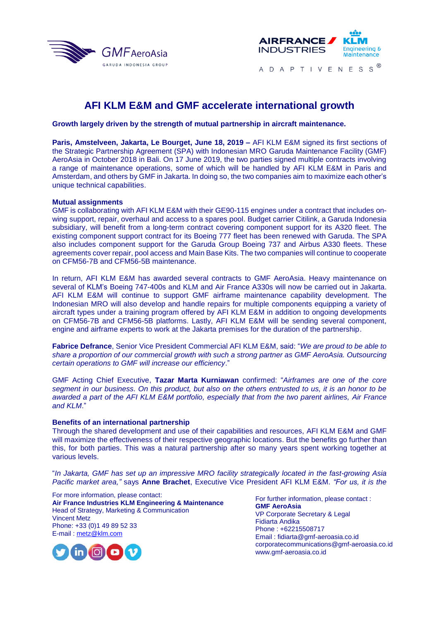



# **AFI KLM E&M and GMF accelerate international growth**

**Growth largely driven by the strength of mutual partnership in aircraft maintenance.**

**Paris, Amstelveen, Jakarta, Le Bourget, June 18, 2019 –** AFI KLM E&M signed its first sections of the Strategic Partnership Agreement (SPA) with Indonesian MRO Garuda Maintenance Facility (GMF) AeroAsia in October 2018 in Bali. On 17 June 2019, the two parties signed multiple contracts involving a range of maintenance operations, some of which will be handled by AFI KLM E&M in Paris and Amsterdam, and others by GMF in Jakarta. In doing so, the two companies aim to maximize each other's unique technical capabilities.

### **Mutual assignments**

GMF is collaborating with AFI KLM E&M with their GE90-115 engines under a contract that includes onwing support, repair, overhaul and access to a spares pool. Budget carrier Citilink, a Garuda Indonesia subsidiary, will benefit from a long-term contract covering component support for its A320 fleet. The existing component support contract for its Boeing 777 fleet has been renewed with Garuda. The SPA also includes component support for the Garuda Group Boeing 737 and Airbus A330 fleets. These agreements cover repair, pool access and Main Base Kits. The two companies will continue to cooperate on CFM56-7B and CFM56-5B maintenance.

In return, AFI KLM E&M has awarded several contracts to GMF AeroAsia. Heavy maintenance on several of KLM's Boeing 747-400s and KLM and Air France A330s will now be carried out in Jakarta. AFI KLM E&M will continue to support GMF airframe maintenance capability development. The Indonesian MRO will also develop and handle repairs for multiple components equipping a variety of aircraft types under a training program offered by AFI KLM E&M in addition to ongoing developments on CFM56-7B and CFM56-5B platforms. Lastly, AFI KLM E&M will be sending several component, engine and airframe experts to work at the Jakarta premises for the duration of the partnership.

**Fabrice Defrance**, Senior Vice President Commercial AFI KLM E&M, said: "*We are proud to be able to share a proportion of our commercial growth with such a strong partner as GMF AeroAsia. Outsourcing certain operations to GMF will increase our efficiency*."

GMF Acting Chief Executive, **Tazar Marta Kurniawan** confirmed: "*Airframes are one of the core segment in our business. On this product, but also on the others entrusted to us, it is an honor to be awarded a part of the AFI KLM E&M portfolio, especially that from the two parent airlines, Air France and KLM*."

#### **Benefits of an international partnership**

Through the shared development and use of their capabilities and resources, AFI KLM E&M and GMF will maximize the effectiveness of their respective geographic locations. But the benefits go further than this, for both parties. This was a natural partnership after so many years spent working together at various levels.

"*In Jakarta, GMF has set up an impressive MRO facility strategically located in the fast-growing Asia Pacific market area,"* says **Anne Brachet**, Executive Vice President AFI KLM E&M. *"For us, it is the* 

For more information, please contact: **Air France Industries KLM Engineering & Maintenance** Head of Strategy, Marketing & Communication Vincent Metz Phone: +33 (0)1 49 89 52 33 E-mail : metz@klm.com

For further information, please contact : **GMF AeroAsia** VP Corporate Secretary & Legal Fidiarta Andika Phone : +62215508717 Email : fidiarta@gmf-aeroasia.co.id corporatecommunications@gmf-aeroasia.co.id www.gmf-aeroasia.co.id